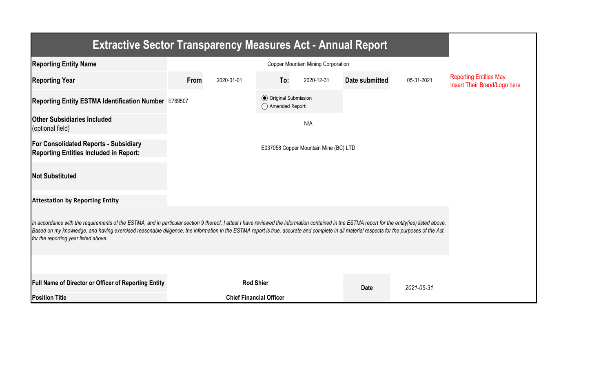| <b>Extractive Sector Transparency Measures Act - Annual Report</b>                                                                                                                                                                                                                                                                                                                                                                    |                                       |                                |                                                  |            |                |            |                                                               |  |  |  |
|---------------------------------------------------------------------------------------------------------------------------------------------------------------------------------------------------------------------------------------------------------------------------------------------------------------------------------------------------------------------------------------------------------------------------------------|---------------------------------------|--------------------------------|--------------------------------------------------|------------|----------------|------------|---------------------------------------------------------------|--|--|--|
| <b>Reporting Entity Name</b>                                                                                                                                                                                                                                                                                                                                                                                                          |                                       |                                |                                                  |            |                |            |                                                               |  |  |  |
| <b>Reporting Year</b>                                                                                                                                                                                                                                                                                                                                                                                                                 | From                                  | 2020-01-01                     | To:                                              | 2020-12-31 | Date submitted | 05-31-2021 | <b>Reporting Entities May</b><br>Insert Their Brand/Logo here |  |  |  |
| Reporting Entity ESTMA Identification Number E769507                                                                                                                                                                                                                                                                                                                                                                                  |                                       |                                | <b>⊙</b> Original Submission<br>◯ Amended Report |            |                |            |                                                               |  |  |  |
| <b>Other Subsidiaries Included</b><br>(optional field)                                                                                                                                                                                                                                                                                                                                                                                |                                       |                                |                                                  | N/A        |                |            |                                                               |  |  |  |
| <b>For Consolidated Reports - Subsidiary</b><br><b>Reporting Entities Included in Report:</b>                                                                                                                                                                                                                                                                                                                                         | E037058 Copper Mountain Mine (BC) LTD |                                |                                                  |            |                |            |                                                               |  |  |  |
| <b>Not Substituted</b>                                                                                                                                                                                                                                                                                                                                                                                                                |                                       |                                |                                                  |            |                |            |                                                               |  |  |  |
| <b>Attestation by Reporting Entity</b>                                                                                                                                                                                                                                                                                                                                                                                                |                                       |                                |                                                  |            |                |            |                                                               |  |  |  |
| In accordance with the requirements of the ESTMA, and in particular section 9 thereof, I attest I have reviewed the information contained in the ESTMA report for the entity(ies) listed above.<br>Based on my knowledge, and having exercised reasonable diligence, the information in the ESTMA report is true, accurate and complete in all material respects for the purposes of the Act,<br>for the reporting year listed above. |                                       |                                |                                                  |            |                |            |                                                               |  |  |  |
|                                                                                                                                                                                                                                                                                                                                                                                                                                       |                                       |                                |                                                  |            |                |            |                                                               |  |  |  |
| <b>Full Name of Director or Officer of Reporting Entity</b>                                                                                                                                                                                                                                                                                                                                                                           | <b>Rod Shier</b>                      |                                |                                                  |            | <b>Date</b>    | 2021-05-31 |                                                               |  |  |  |
| <b>Position Title</b>                                                                                                                                                                                                                                                                                                                                                                                                                 |                                       | <b>Chief Financial Officer</b> |                                                  |            |                |            |                                                               |  |  |  |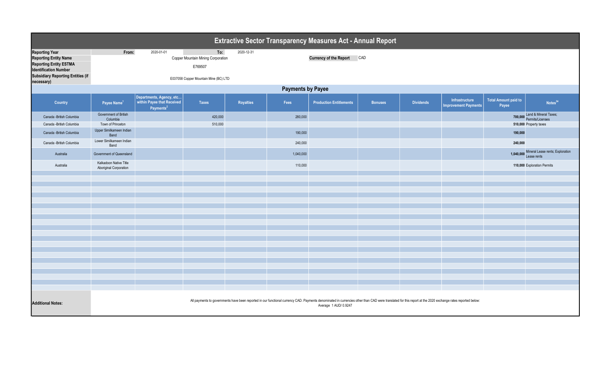| Extractive Sector Transparency Measures Act - Annual Report                                                                                                                      |                                                                                                                                                                                                                                      |                                                                                 |                                                                                               |            |           |                                |                |                  |                                               |                                      |                                                          |  |
|----------------------------------------------------------------------------------------------------------------------------------------------------------------------------------|--------------------------------------------------------------------------------------------------------------------------------------------------------------------------------------------------------------------------------------|---------------------------------------------------------------------------------|-----------------------------------------------------------------------------------------------|------------|-----------|--------------------------------|----------------|------------------|-----------------------------------------------|--------------------------------------|----------------------------------------------------------|--|
| <b>Reporting Year</b><br><b>Reporting Entity Name</b><br><b>Reporting Entity ESTMA</b><br><b>Identification Number</b><br><b>Subsidiary Reporting Entities (if</b><br>necessary) | From:                                                                                                                                                                                                                                | 2020-01-01                                                                      | To:<br>Copper Mountain Mining Corporation<br>E769507<br>E037058 Copper Mountain Mine (BC) LTD | 2020-12-31 |           | <b>Currency of the Report</b>  | CAD            |                  |                                               |                                      |                                                          |  |
|                                                                                                                                                                                  | <b>Payments by Payee</b>                                                                                                                                                                                                             |                                                                                 |                                                                                               |            |           |                                |                |                  |                                               |                                      |                                                          |  |
| Country                                                                                                                                                                          | Payee Name <sup>1</sup>                                                                                                                                                                                                              | Departments, Agency, etc<br>within Payee that Received<br>Payments <sup>2</sup> | <b>Taxes</b>                                                                                  | Royalties  | Fees      | <b>Production Entitlements</b> | <b>Bonuses</b> | <b>Dividends</b> | Infrastructure<br><b>Improvement Payments</b> | <b>Total Amount paid to</b><br>Payee | Notes <sup>34</sup>                                      |  |
| Canada - British Columbia                                                                                                                                                        | Government of British<br>Columbia                                                                                                                                                                                                    |                                                                                 | 420,000                                                                                       |            | 280,000   |                                |                |                  |                                               |                                      | <b>700,000</b> Land & Mineral Taxes;<br>Permits/Licenses |  |
| Canada - British Columbia                                                                                                                                                        | Town of Princeton<br>Upper Similkameen Indian                                                                                                                                                                                        |                                                                                 | 510,000                                                                                       |            |           |                                |                |                  |                                               |                                      | 510,000 Property taxes                                   |  |
| Canada - British Columbia                                                                                                                                                        | Band<br>Lower Similkameen Indian                                                                                                                                                                                                     |                                                                                 |                                                                                               |            | 190,000   |                                |                |                  |                                               | 190,000                              |                                                          |  |
| Canada - British Columbia                                                                                                                                                        | Band                                                                                                                                                                                                                                 |                                                                                 |                                                                                               |            | 240,000   |                                |                |                  |                                               | 240,000                              | Mineral Lease rents; Exploration                         |  |
| Australia                                                                                                                                                                        | Government of Queensland                                                                                                                                                                                                             |                                                                                 |                                                                                               |            | 1,040,000 |                                |                |                  |                                               | 1,040,000                            | Lease rents                                              |  |
| Australia                                                                                                                                                                        | Kalkadoon Native Title<br>Aboriginal Corporation                                                                                                                                                                                     |                                                                                 |                                                                                               |            | 110,000   |                                |                |                  |                                               |                                      | 110,000 Exploration Permits                              |  |
|                                                                                                                                                                                  |                                                                                                                                                                                                                                      |                                                                                 |                                                                                               |            |           |                                |                |                  |                                               |                                      |                                                          |  |
|                                                                                                                                                                                  |                                                                                                                                                                                                                                      |                                                                                 |                                                                                               |            |           |                                |                |                  |                                               |                                      |                                                          |  |
|                                                                                                                                                                                  |                                                                                                                                                                                                                                      |                                                                                 |                                                                                               |            |           |                                |                |                  |                                               |                                      |                                                          |  |
|                                                                                                                                                                                  |                                                                                                                                                                                                                                      |                                                                                 |                                                                                               |            |           |                                |                |                  |                                               |                                      |                                                          |  |
|                                                                                                                                                                                  |                                                                                                                                                                                                                                      |                                                                                 |                                                                                               |            |           |                                |                |                  |                                               |                                      |                                                          |  |
|                                                                                                                                                                                  |                                                                                                                                                                                                                                      |                                                                                 |                                                                                               |            |           |                                |                |                  |                                               |                                      |                                                          |  |
|                                                                                                                                                                                  |                                                                                                                                                                                                                                      |                                                                                 |                                                                                               |            |           |                                |                |                  |                                               |                                      |                                                          |  |
|                                                                                                                                                                                  |                                                                                                                                                                                                                                      |                                                                                 |                                                                                               |            |           |                                |                |                  |                                               |                                      |                                                          |  |
|                                                                                                                                                                                  |                                                                                                                                                                                                                                      |                                                                                 |                                                                                               |            |           |                                |                |                  |                                               |                                      |                                                          |  |
|                                                                                                                                                                                  |                                                                                                                                                                                                                                      |                                                                                 |                                                                                               |            |           |                                |                |                  |                                               |                                      |                                                          |  |
|                                                                                                                                                                                  |                                                                                                                                                                                                                                      |                                                                                 |                                                                                               |            |           |                                |                |                  |                                               |                                      |                                                          |  |
|                                                                                                                                                                                  |                                                                                                                                                                                                                                      |                                                                                 |                                                                                               |            |           |                                |                |                  |                                               |                                      |                                                          |  |
|                                                                                                                                                                                  |                                                                                                                                                                                                                                      |                                                                                 |                                                                                               |            |           |                                |                |                  |                                               |                                      |                                                          |  |
|                                                                                                                                                                                  |                                                                                                                                                                                                                                      |                                                                                 |                                                                                               |            |           |                                |                |                  |                                               |                                      |                                                          |  |
|                                                                                                                                                                                  |                                                                                                                                                                                                                                      |                                                                                 |                                                                                               |            |           |                                |                |                  |                                               |                                      |                                                          |  |
| <b>Additional Notes:</b>                                                                                                                                                         | All payments to governments have been reported in our functional currency CAD. Payments denominated in currencies other than CAD were translated for this report at the 2020 exchange rates reported below:<br>Average 1 AUD/ 0.9247 |                                                                                 |                                                                                               |            |           |                                |                |                  |                                               |                                      |                                                          |  |